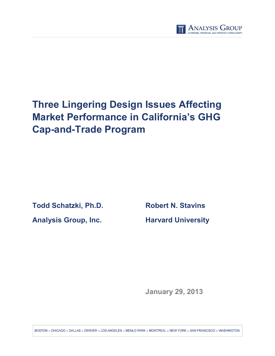

# **Three Lingering Design Issues Affecting Market Performance in California's GHG Cap-and-Trade Program**

**Todd Schatzki, Ph.D. Robert N. Stavins**

**Analysis Group, Inc. Harvard University**

**January 29, 2013**

BOSTON CHICAGO DALLAS DENVER DOS ANGELES DIMENLO PARK DIMONTREAL DIMENVIORK DISANTRANCISCO DIMASHINGTON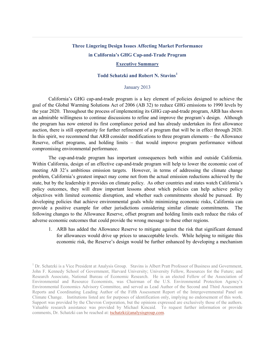## **Three Lingering Design Issues Affecting Market Performance in California's GHG Cap-and-Trade Program Executive Summary**

#### **Todd Schatzki and Robert N. Stavins[1](#page-1-0)**

#### January 2013

California's GHG cap-and-trade program is a key element of policies designed to achieve the goal of the Global Warming Solutions Act of 2006 (AB 32) to reduce GHG emissions to 1990 levels by the year 2020. Throughout the process of implementing its GHG cap-and-trade program, ARB has shown an admirable willingness to continue discussions to refine and improve the program's design. Although the program has now entered its first compliance period and has already undertaken its first allowance auction, there is still opportunity for further refinement of a program that will be in effect through 2020. In this spirit, we recommend that ARB consider modifications to three program elements – the Allowance Reserve, offset programs, and holding limits – that would improve program performance without compromising environmental performance.

The cap-and-trade program has important consequences both within and outside California. Within California, design of an effective cap-and-trade program will help to lower the economic cost of meeting AB 32's ambitious emission targets. However, in terms of addressing the climate change problem, California's greatest impact may come not from the actual emission reductions achieved by the state, but by the leadership it provides on climate policy. As other countries and states watch California's policy outcomes, they will draw important lessons about which policies can help achieve policy objectives with limited economic disruption, and whether such commitments should be pursued. By developing policies that achieve environmental goals while minimizing economic risks, California can provide a positive example for other jurisdictions considering similar climate commitments. The following changes to the Allowance Reserve, offset program and holding limits each reduce the risks of adverse economic outcomes that could provide the wrong message to these other regions.

1. ARB has added the Allowance Reserve to mitigate against the risk that significant demand for allowances would drive up prices to unacceptable levels. While helping to mitigate this economic risk, the Reserve's design would be further enhanced by developing a mechanism

<span id="page-1-0"></span><sup>&</sup>lt;sup>1</sup> Dr. Schatzki is a Vice President at Analysis Group. Stavins is Albert Pratt Professor of Business and Government, John F. Kennedy School of Government, Harvard University; University Fellow, Resources for the Future; and Research Associate, National Bureau of Economic Research. He is an elected Fellow of the Association of Environmental and Resource Economists, was Chairman of the U.S. Environmental Protection Agency's Environmental Economics Advisory Committee, and served as Lead Author of the Second and Third Assessment Reports and Coordinating Leading Author of the Fifth Assessment Report of the Intergovernmental Panel on Climate Change. Institutions listed are for purposes of identification only, implying no endorsement of this work. Support was provided by the Chevron Corporation, but the opinions expressed are exclusively those of the authors. Valuable research assistance was provided by Michael Kincaid. To request further information or provide comments, Dr. Schatzki can be reached at: [tschatzki@analysisgroup.com.](mailto:tschatzki@analysisgroup.com)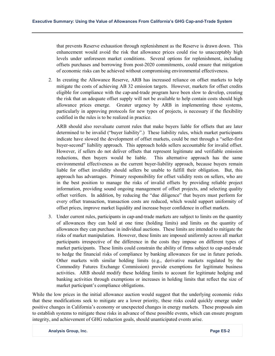that prevents Reserve exhaustion through replenishment as the Reserve is drawn down. This enhancement would avoid the risk that allowance prices could rise to unacceptably high levels under unforeseen market conditions. Several options for replenishment, including offsets purchases and borrowing from post-2020 commitments, could ensure that mitigation of economic risks can be achieved without compromising environmental effectiveness.

2. In creating the Allowance Reserve, ARB has increased reliance on offset markets to help mitigate the costs of achieving AB 32 emission targets. However, markets for offset credits eligible for compliance with the cap-and-trade program have been slow to develop, creating the risk that an adequate offset supply will not be available to help contain costs should high allowance prices emerge. Greater urgency by ARB in implementing these systems, particularly in approving protocols for new types of projects, is necessary if the flexibility codified in the rules is to be realized in practice.

ARB should also reevaluate current rules that make buyers liable for offsets that are later determined to be invalid ("buyer liability".) These liability rules, which market participants indicate have slowed the development of offset markets, could be met through a "seller-first buyer-second" liability approach. This approach holds sellers accountable for invalid offset. However, if sellers do not deliver offsets that represent legitimate and verifiable emission reductions, then buyers would be liable. This alternative approach has the same environmental effectiveness as the current buyer-liability approach, because buyers remain liable for offset invalidity should sellers be unable to fulfill their obligation. But, this approach has advantages. Primary responsibility for offset validity rests on sellers, who are in the best position to manage the risks of invalid offsets by providing reliable project information, providing sound ongoing management of offset projects, and selecting quality offset verifiers. In addition, by reducing the "due diligence" that buyers must perform for every offset transaction, transaction costs are reduced, which would support uniformity of offset prices, improve market liquidity and increase buyer confidence in offset markets.

3. Under current rules, participants in cap-and-trade markets are subject to limits on the quantity of allowances they can hold at one time (holding limits) and limits on the quantity of allowances they can purchase in individual auctions. These limits are intended to mitigate the risks of market manipulation. However, these limits are imposed uniformly across all market participants irrespective of the difference in the costs they impose on different types of market participants. These limits could constrain the ability of firms subject to cap-and-trade to hedge the financial risks of compliance by banking allowances for use in future periods. Other markets with similar holding limits (e.g., derivative markets regulated by the Commodity Futures Exchange Commission) provide exemptions for legitimate business activities. ARB should modify these holding limits to account for legitimate hedging and banking activities through exemptions or increases in holding limits that reflect the size of market participant's compliance obligations.

While the low prices in the initial allowance auction would suggest that the underlying economic risks that these modifications seek to mitigate are a lower priority, these risks could quickly emerge under positive changes in California's economy or unexpected changes in energy markets. These proposals aim to establish systems to mitigate these risks in advance of these possible events, which can ensure program integrity, and achievement of GHG reduction goals, should unanticipated events arise.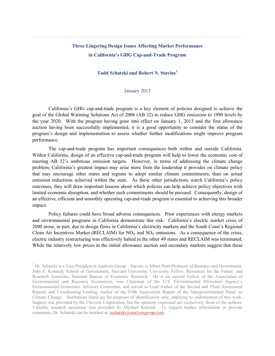## **Three Lingering Design Issues Affecting Market Performance in California's GHG Cap-and-Trade Program**

### **Todd Schatzki and Robert N. Stavins[2](#page-3-0)**

#### January 2013

California's GHG cap-and-trade program is a key element of policies designed to achieve the goal of the Global Warming Solutions Act of 2006 (AB 32) to reduce GHG emissions to 1990 levels by the year 2020. With the program having gone into effect on January 1, 2013 and the first allowance auction having been successfully implemented, it is a good opportunity to consider the status of the program's design and implementation to assess whether further modifications might improve program performance.

The cap-and-trade program has important consequences both within and outside California. Within California, design of an effective cap-and-trade program will help to lower the economic cost of meeting AB 32's ambitious emission targets. However, in terms of addressing the climate change problem, California's greatest impact may arise more from the leadership it provides on climate policy that may encourage other states and regions to adopt similar climate commitments, than on actual emission reductions achieved within the state. As these other jurisdictions watch California's policy outcomes, they will draw important lessons about which policies can help achieve policy objectives with limited economic disruption, and whether such commitments should be pursued. Consequently, design of an effective, efficient and smoothly operating cap-and-trade program is essential to achieving this broader impact.

Policy failures could have broad adverse consequences. Prior experiences with energy markets and environmental programs in California demonstrate this risk. California's electric market crisis of 2000 arose, in part, due to design flaws in California's electricity markets and the South Coast's Regional Clean Air Incentives Market (RECLAIM) for  $NO<sub>X</sub>$  and  $SO<sub>X</sub>$  emissions. As a consequence of the crisis, electric industry restructuring was effectively halted in the other 49 states and RECLAIM was terminated. While the relatively low prices in the initial allowance auction and secondary markets suggest that these

<span id="page-3-0"></span><sup>&</sup>lt;sup>2</sup> Dr. Schatzki is a Vice President at Analysis Group. Stavins is Albert Pratt Professor of Business and Government, John F. Kennedy School of Government, Harvard University; University Fellow, Resources for the Future; and Research Associate, National Bureau of Economic Research. He is an elected Fellow of the Association of Environmental and Resource Economists, was Chairman of the U.S. Environmental Protection Agency's Environmental Economics Advisory Committee, and served as Lead Author of the Second and Third Assessment Reports and Coordinating Leading Author of the Fifth Assessment Report of the Intergovernmental Panel on Climate Change. Institutions listed are for purposes of identification only, implying no endorsement of this work. Support was provided by the Chevron Corporation, but the opinions expressed are exclusively those of the authors. Valuable research assistance was provided by Michael Kincaid. To request further information or provide comments, Dr. Schatzki can be reached at: [tschatzki@analysisgroup.com.](mailto:tschatzki@analysisgroup.com)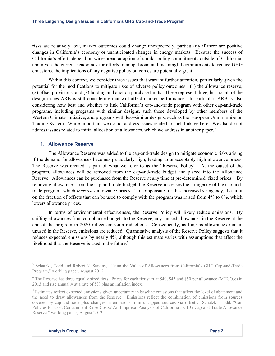risks are relatively low, market outcomes could change unexpectedly, particularly if there are positive changes in California's economy or unanticipated changes in energy markets. Because the success of California's efforts depend on widespread adoption of similar policy commitments outside of California, and given the current headwinds for efforts to adopt broad and meaningful commitments to reduce GHG emissions, the implications of any negative policy outcomes are potentially great.

Within this context, we consider three issues that warrant further attention, particularly given the potential for the modifications to mitigate risks of adverse policy outcomes: (1) the allowance reserve; (2) offset provisions; and (3) holding and auction purchase limits. These represent three, but not all of the design issues ARB is still considering that will affect market performance. In particular, ARB is also considering how best and whether to link California's cap-and-trade program with other cap-and-trade programs, including programs with similar designs, such those developed by other members of the Western Climate Initiative, and programs with less-similar designs, such as the European Union Emission Trading System. While important, we do not address issues related to such linkage here. We also do not address issues related to initial allocation of allowances, which we address in another paper.<sup>[3](#page-4-0)</sup>

#### **1. Allowance Reserve**

The Allowance Reserve was added to the cap-and-trade design to mitigate economic risks arising if the demand for allowances becomes particularly high, leading to unacceptably high allowance prices. The Reserve was created as part of what we refer to as the "Reserve Policy". At the outset of the program, allowances will be removed from the cap-and-trade budget and placed into the Allowance Reserve. Allowances can be purchased from the Reserve at any time at pre-determined, fixed prices.<sup>[4](#page-4-1)</sup> By removing allowances from the cap-and-trade budget, the Reserve increases the stringency of the cap-andtrade program, which *increases* allowance prices. To compensate for this increased stringency, the limit on the fraction of offsets that can be used to comply with the program was raised from 4% to 8%, which lowers allowance prices.

In terms of environmental effectiveness, the Reserve Policy will likely reduce emissions. By shifting allowances from compliance budgets to the Reserve, any unused allowances in the Reserve at the end of the program in 2020 reflect emission reductions. Consequently, as long as allowances remain unused in the Reserve, emissions are reduced. Quantitative analysis of the Reserve Policy suggests that it reduces expected emissions by nearly 4%, although this estimate varies with assumptions that affect the likelihood that the Reserve is used in the future.<sup>[5](#page-4-2)</sup>

<span id="page-4-0"></span><sup>&</sup>lt;sup>3</sup> Schatzki, Todd and Robert N. Stavins, "Using the Value of Allowances from California's GHG Cap-and-Trade Program," working paper, August 2012.

<span id="page-4-1"></span><sup>&</sup>lt;sup>4</sup> The Reserve has three equally sized tiers. Prices for each tier start at \$40, \$45 and \$50 per allowance (MTCO<sub>2</sub>e) in 2013 and rise annually at a rate of 5% plus an inflation index.

<span id="page-4-2"></span><sup>&</sup>lt;sup>5</sup> Estimates reflect expected emissions given uncertainty in baseline emissions that affect the level of abatement and the need to draw allowances from the Reserve. Emissions reflect the combination of emissions from sources covered by cap-and-trade plus changes in emissions from uncapped sources via offsets. Schatzki, Todd, "Can Policies for Cost Containment Raise Costs? An Empirical Analysis of California's GHG Cap-and-Trade Allowance Reserve," working paper, August 2012.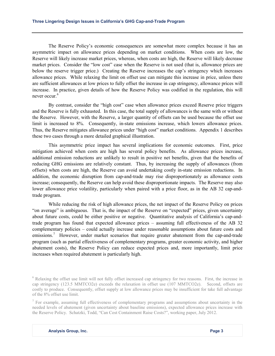The Reserve Policy's economic consequences are somewhat more complex because it has an asymmetric impact on allowance prices depending on market conditions. When costs are low, the Reserve will likely increase market prices, whereas, when costs are high, the Reserve will likely decrease market prices. Consider the "low cost" case when the Reserve is not used (that is, allowance prices are below the reserve trigger price.) Creating the Reserve increases the cap's stringency which increases allowance prices. While relaxing the limit on offset use can mitigate this increase in price, unless there are sufficient allowances at low prices to fully offset the increase in cap stringency, allowance prices will increase. In practice, given details of how the Reserve Policy was codified in the regulation, this will never occur.<sup>[6](#page-5-0)</sup>

By contrast, consider the "high cost" case when allowance prices exceed Reserve price triggers and the Reserve is fully exhausted. In this case, the total supply of allowances is the same with or without the Reserve. However, with the Reserve, a larger quantity of offsets can be used because the offset use limit is increased to 8%. Consequently, in-state emissions increase, which lowers allowance prices. Thus, the Reserve mitigates allowance prices under "high cost" market conditions. Appendix 1 describes these two cases through a more detailed graphical illustration.

This asymmetric price impact has several implications for economic outcomes. First, price mitigation achieved when costs are high has several policy benefits. As allowance prices increase, additional emission reductions are unlikely to result in positive net benefits, given that the benefits of reducing GHG emissions are relatively constant. Thus, by increasing the supply of allowances (from offsets) when costs are high, the Reserve can avoid undertaking costly in-state emission reductions. In addition, the economic disruption from cap-and-trade may rise disproportionately as allowance costs increase; consequently, the Reserve can help avoid these disproportionate impacts. The Reserve may also lower allowance price volatility, particularly when paired with a price floor, as in the AB 32 cap-andtrade program.

While reducing the risk of high allowance prices, the net impact of the Reserve Policy on prices "on average" is ambiguous. That is, the impact of the Reserve on "expected" prices, given uncertainty about future costs, could be either positive or negative. Quantitative analysis of California's cap-andtrade program has found that expected allowance prices – assuming full effectiveness of the AB 32 complementary policies – could actually increase under reasonable assumptions about future costs and emissions.<sup>[7](#page-5-1)</sup> However, under market scenarios that require greater abatement from the cap-and-trade program (such as partial effectiveness of complementary programs, greater economic activity, and higher abatement costs), the Reserve Policy can reduce expected prices and, more importantly, limit price increases when required abatement is particularly high.

<span id="page-5-0"></span><sup>6</sup> Relaxing the offset use limit will not fully offset increased cap stringency for two reasons. First, the increase in cap stringency (123.5 MMTCO2e) exceeds the relaxation in offset use (107 MMTCO2e). Second, offsets are costly to produce. Consequently, offset supply at low allowance prices may be insufficient for take full advantage of the 8% offset use limit.

<span id="page-5-1"></span><sup>7</sup> For example, assuming full effectiveness of complementary programs and assumptions about uncertainty in the needed levels of abatement (given uncertainty about baseline emissions), expected allowance prices increase with the Reserve Policy. Schatzki, Todd, "Can Cost Containment Raise Costs?", working paper, July 2012.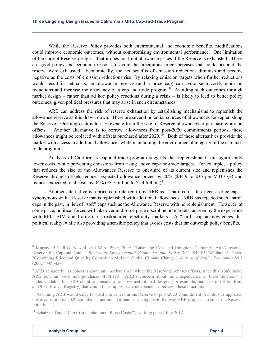While the Reserve Policy provides both environmental and economic benefits, modifications could improve economic outcomes, without compromising environmental performance. One limitation of the current Reserve design is that it does not limit allowance prices if the Reserve is exhausted. There are good policy and economic reasons to avoid the precipitous price increases that could occur if the reserve were exhausted. Economically, the net benefits of emission reductions diminish and become negative as the costs of emission reductions rise. By relaxing emission targets when further reductions would result in net costs, an allowance reserve (and a price cap) can avoid such costly emission reductions and increase the efficiency of a cap-and-trade program.<sup>[8](#page-6-0)</sup> Avoiding such outcomes through market design – rather than ad hoc policy reactions during a crisis – is likely to lead to better policy outcomes, given political pressures that may arise in such circumstances.

ARB can address the risk of reserve exhaustion by establishing mechanisms to replenish the allowance reserve as it is drawn down. There are several potential sources of allowances for replenishing the Reserve. One approach is to use revenue from the sale of Reserve allowances to purchase emission offsets.<sup>[9](#page-6-1)</sup> Another alternative is to borrow allowances from post-2020 commitments periods; these allowances might be replaced with offsets purchased after  $2020$ .<sup>[10](#page-6-2)</sup> Both of these alternatives provide the market with access to additional allowances while maintaining the environmental integrity of the cap-andtrade program.

Analysis of California's cap-and-trade program suggests that replenishment can significantly lower costs, while preventing emissions from rising above cap-and-trade targets. For example, a policy that reduces the size of the Allowances Reserve to one-third of its current size and replenishes the Reserve through offsets reduces expected allowance prices by  $20\%$  (\$44.9 to \$36 per MTCO<sub>2</sub>e) and reduces expected total costs by  $34\%$  (\$3.7 billion to \$2.4 billion.)<sup>[11](#page-6-3)</sup>

Another alternative is a price cap, referred to by ARB as a "hard cap." In effect, a price cap is synonymous with a Reserve that is replenished with additional allowances. ARB has rejected such "hard" caps in the past, in lieu of "soft" caps such as the Allowance Reserve with no replenishment. However, at some price, political forces will take over and force price discipline on markets, as seen by the experience with RECLAIM and California's restructured electricity markets. A "hard" cap acknowledges this political reality, while also providing a sensible policy that avoids costs that far outweigh policy benefits.

<span id="page-6-0"></span><sup>8</sup> Murray, B.C, R.G. Newell, and W.A. Pizer, 2009, "Balancing Cost and Emissions Certainty: An Allowance Reserve for Cap-and-Trade," *Review of Environmental Economics and Policy* 3(1): 84-103; William A. Pizer. "Combining Price and Quantity Controls to Mitigate Global Climate Change." *Journal of Public Economics* 85.3 (2002): 409-434.

<span id="page-6-1"></span><sup>&</sup>lt;sup>9</sup> ARB apparently has concerns about any mechanism in which the Reserve purchases offsets, since this would make ARB both an issuer and purchaser of offsets. ARB's concern about the independence of these functions is understandable, but ARB ought to consider alternative institutional designs (for example, purchase of offsets from an Offset Project Registry) that would foster appropriate independence between these functions.

<span id="page-6-2"></span><sup>&</sup>lt;sup>10</sup> Assuming ARB would carry forward allowances in the Reserve to post-2020 commitment periods, this approach borrows from post-2020 compliance periods in a manner analogous to the way ARB proposes to stock the Reserve initially.

<span id="page-6-3"></span><sup>&</sup>lt;sup>11</sup> Schatzki, Todd, "Can Cost Containment Raise Costs?", working paper, July 2012.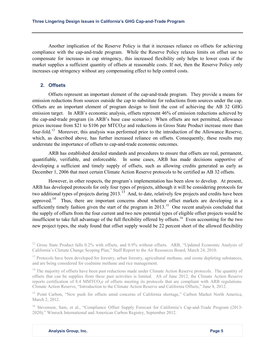Another implication of the Reserve Policy is that it increases reliance on offsets for achieving compliance with the cap-and-trade program. While the Reserve Policy relaxes limits on offset use to compensate for increases in cap stringency, this increased flexibility only helps to lower costs if the market supplies a sufficient quantity of offsets at reasonable costs. If not, then the Reserve Policy only increases cap stringency without any compensating effect to help control costs.

#### **2. Offsets**

Offsets represent an important element of the cap-and-trade program. They provide a means for emission reductions from sources outside the cap to substitute for reductions from sources under the cap. Offsets are an important element of program design to limit the cost of achieving the AB 32 GHG emission target. In ARB's economic analysis, offsets represent 46% of emission reductions achieved by the cap-and-trade program (in ARB's base case scenario.) When offsets are not permitted, allowance prices increase from \$21 to  $$106$  per MTCO<sub>2</sub>e and reductions in Gross State Product increase more than four-fold.<sup>[12](#page-7-0)</sup> Moreover, this analysis was performed prior to the introduction of the Allowance Reserve, which, as described above, has further increased reliance on offsets. Consequently, these results may understate the importance of offsets to cap-and-trade economic outcomes.

ARB has established detailed standards and procedures to ensure that offsets are real, permanent, quantifiable, verifiable, and enforceable. In some cases, ARB has made decisions supportive of developing a sufficient and timely supply of offsets, such as allowing credits generated as early as December 1, 2006 that meet certain Climate Action Reserve protocols to be certified as AB 32 offsets.

However, in other respects, the program's implementation has been slow to develop. At present, ARB has developed protocols for only four types of projects, although it will be considering protocols for two additional types of projects during 2013.<sup>13</sup> And, to date, relatively few projects and credits have been approved.<sup>[14](#page-7-2)</sup> Thus, there are important concerns about whether offset markets are developing in a sufficiently timely fashion given the start of the program in  $2013$ <sup>[15](#page-7-3)</sup>. One recent analysis concluded that the supply of offsets from the four current and two new potential types of eligible offset projects would be insufficient to take full advantage of the full flexibility offered by offsets.<sup>[16](#page-7-4)</sup> Even accounting for the two new project types, the study found that offset supply would be 22 percent short of the allowed flexibility

<span id="page-7-1"></span><sup>13</sup> Protocols have been developed for forestry, urban forestry, agricultural methane, and ozone depleting substances, and are being considered for coalmine methane and rice management.

<span id="page-7-2"></span><sup>14</sup> The majority of offsets have been past reductions made under Climate Action Reserve protocols. The quantity of offsets that can be supplies from these past activities is limited. AS of June 2012, the Climate Action Reserve reports certification of 8.4 MMTCO<sub>2</sub>e of offsets meeting its protocols that are compliant with ARB regulations. Climate Action Reserve, "Introduction to the Climate Action Reserve and California Offsets," June 8, 2012.

<span id="page-7-3"></span><sup>15</sup> Point Carbon, "New push for offsets amid concerns of California shortage," Carbon Market North America, March 2, 2012.

<span id="page-7-4"></span><sup>16</sup> Stevenson, Sam, et al., "Compliance Offset Supply Forecast for California's Cap-and-Trade Program (2013-2020)," Winrock International and American Carbon Registry, September 2012.

<span id="page-7-0"></span><sup>&</sup>lt;sup>12</sup> Gross State Product falls 0.2% with offsets, and 0.9% without offsets. ARB, "Updated Economic Analysis of California's Climate Change Scoping Plan," Staff Report to the Air Resources Board, March 24, 2010.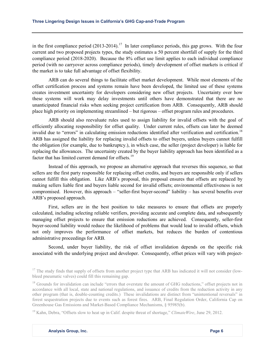in the first compliance period  $(2013-2014).$ <sup>17</sup> In later compliance periods, this gap grows. With the four current and two proposed projects types, the study estimates a 50 percent shortfall of supply for the third compliance period (2018-2020). Because the 8% offset use limit applies to each individual compliance period (with no carryover across compliance periods), timely development of offset markets is critical if the market is to take full advantage of offset flexibility.

ARB can do several things to facilitate offset market development. While most elements of the offset certification process and systems remain have been developed, the limited use of these systems creates investment uncertainty for developers considering new offset projects. Uncertainty over how these systems will work may delay investments until others have demonstrated that there are no unanticipated financial risks when seeking project certification from ARB. Consequently, ARB should place high priority on implementing streamlined – but rigorous – offset program rules and procedures.

ARB should also reevaluate rules used to assign liability for invalid offsets with the goal of efficiently allocating responsibility for offset quality. Under current rules, offsets can later be deemed invalid due to "errors" in calculating emission reductions identified after verification and certification.<sup>[18](#page-8-1)</sup> ARB has assigned the liability for replacing invalid offsets to offset buyers, unless buyers cannot fulfill the obligation (for example, due to bankruptcy.), in which case, the seller (project developer) is liable for replacing the allowances. The uncertainty created by the buyer liability approach has been identified as a factor that has limited current demand for offsets.<sup>19</sup>

Instead of this approach, we propose an alternative approach that reverses this sequence, so that sellers are the first party responsible for replacing offset credits, and buyers are responsible only if sellers cannot fulfill this obligation. Like ARB's proposal, this proposal ensures that offsets are replaced by making sellers liable first and buyers liable second for invalid offsets; environmental effectiveness is not compromised. However, this approach – "seller-first buyer-second" liability – has several benefits over ARB's proposed approach.

First, sellers are in the best position to take measures to ensure that offsets are properly calculated, including selecting reliable verifiers, providing accurate and complete data, and subsequently managing offset projects to ensure that emission reductions are achieved. Consequently, seller-first buyer-second liability would reduce the likelihood of problems that would lead to invalid offsets, which not only improves the performance of offset markets, but reduces the burden of contentious administrative proceedings for ARB.

Second, under buyer liability, the risk of offset invalidation depends on the specific risk associated with the underlying project and developer. Consequently, offset prices will vary with project-

<span id="page-8-0"></span> $17$  The study finds that supply of offsets from another project type that ARB has indicated it will not consider (lowbleed pneumatic valves) could fill this remaining gap.

<span id="page-8-1"></span><sup>&</sup>lt;sup>18</sup> Grounds for invalidation can include "errors that overstate the amount of GHG reductions," offset projects not in accordance with all local, state and national regulations, and issuance of credits from the reduction activity in any other program (that is, double-counting credits.) These invalidations are distinct from "unintentional reversals" in forest sequestration projects due to events such as forest fires. ARB, Final Regulation Order, California Cap on Greenhouse Gas Emissions and Market-Based Compliance Mechanisms, § 95985(b).

<span id="page-8-2"></span><sup>&</sup>lt;sup>19</sup> Kahn, Debra, "Offsets slow to heat up in Calif. despite threat of shortage," *ClimateWire*, June 29, 2012.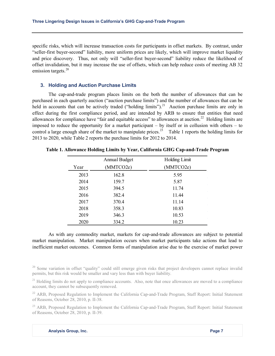specific risks, which will increase transaction costs for participants in offset markets. By contrast, under "seller-first buyer-second" liability, more uniform prices are likely, which will improve market liquidity and price discovery. Thus, not only will "seller-first buyer-second" liability reduce the likelihood of offset invalidation, but it may increase the use of offsets, which can help reduce costs of meeting AB 32 emission targets.<sup>[20](#page-9-0)</sup>

#### **3. Holding and Auction Purchase Limits**

The cap-and-trade program places limits on the both the number of allowances that can be purchased in each quarterly auction ("auction purchase limits") and the number of allowances that can be held in accounts that can be actively traded ("holding limits").<sup>[21](#page-9-1)</sup> Auction purchase limits are only in effect during the first compliance period, and are intended by ARB to ensure that entities that need allowances for compliance have "fair and equitable access" to allowances at auction.<sup>22</sup> Holding limits are imposed to reduce the opportunity for a market participant – by itself or in collusion with others – to control a large enough share of the market to manipulate prices.<sup>[23](#page-9-3)</sup> Table 1 reports the holding limits for 2013 to 2020, while Table 2 reports the purchase limits for 2012 to 2014.

|      | <b>Annual Budget</b> | Holding Limit |
|------|----------------------|---------------|
| Year | (MMTCO2e)            | (MMTCO2e)     |
| 2013 | 162.8                | 5.95          |
| 2014 | 159.7                | 5.87          |
| 2015 | 394.5                | 11.74         |
| 2016 | 382.4                | 11.44         |
| 2017 | 370.4                | 11.14         |
| 2018 | 358.3                | 10.83         |
| 2019 | 346.3                | 10.53         |
| 2020 | 334.2                | 10.23         |

**Table 1. Allowance Holding Limits by Year, California GHG Cap-and-Trade Program**

As with any commodity market, markets for cap-and-trade allowances are subject to potential market manipulation. Market manipulation occurs when market participants take actions that lead to inefficient market outcomes. Common forms of manipulation arise due to the exercise of market power

<span id="page-9-0"></span> $^{20}$  Some variation in offset "quality" could still emerge given risks that project developers cannot replace invalid permits, but this risk would be smaller and vary less than with buyer liability.

<span id="page-9-1"></span><sup>21</sup> Holding limits do not apply to compliance accounts. Also, note that once allowances are moved to a compliance account, they cannot be subsequently removed.

<span id="page-9-2"></span><sup>22</sup> ARB, Proposed Regulation to Implement the California Cap-and-Trade Program, Staff Report: Initial Statement of Reasons, October 28, 2010, p. II-38.

<span id="page-9-3"></span><sup>23</sup> ARB, Proposed Regulation to Implement the California Cap-and-Trade Program, Staff Report: Initial Statement of Reasons, October 28, 2010, p. II-39.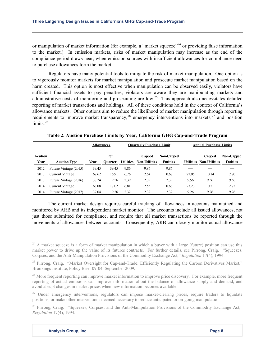or manipulation of market information (for example, a "market squeeze"<sup>[24](#page-10-0)</sup> or providing false information to the market.) In emission markets, risks of market manipulation may increase as the end of the compliance period draws near, when emission sources with insufficient allowances for compliance need to purchase allowances form the market.

Regulators have many potential tools to mitigate the risk of market manipulation. One option is to vigorously monitor markets for market manipulation and prosecute market manipulation based on the harm created. This option is most effective when manipulation can be observed easily, violators have sufficient financial assets to pay penalties, violators are aware they are manipulating markets and administrative costs of monitoring and prosecuting are low.<sup>[25](#page-10-1)</sup> This approach also necessitates detailed reporting of market transactions and holdings. All of these conditions hold in the context of California's allowance markets. Other options aim to reduce the likelihood of market manipulation through reporting requirements to improve market transparency,  $^{26}$  $^{26}$  $^{26}$  emergency interventions into markets,  $^{27}$  $^{27}$  $^{27}$  and position limits.<sup>[28](#page-10-4)</sup>

|         |                       | <b>Allowances</b> |                | <b>Ouarterly Purchase Limit</b> |                      |                   | <b>Annual Purchase Limits</b> |                         |                   |
|---------|-----------------------|-------------------|----------------|---------------------------------|----------------------|-------------------|-------------------------------|-------------------------|-------------------|
| Acution |                       |                   | Per            |                                 | Capped               | <b>Non-Capped</b> |                               | Capped                  | <b>Non-Capped</b> |
| Year    | <b>Auction Type</b>   | Year              | <b>Ouarter</b> | <b>Utilities</b>                | <b>Non-Utilities</b> | <b>Entities</b>   |                               | Utilities Non-Utilities | <b>Entities</b>   |
| 2012    | Future Vintage (2015) | 39.45             | 39.45          | 9.86                            | 9.86                 | 9.86              |                               |                         |                   |
| 2013    | Current Vintage       | 67.62             | 16.91          | 6.76                            | 2.54                 | 0.68              | 27.05                         | 10.14                   | 2.70              |
| 2013    | Future Vintage (2016) | 38.24             | 9.56           | 2.39                            | 2.39                 | 2.39              | 9.56                          | 9.56                    | 9.56              |
| 2014    | Current Vintage       | 68.08             | 17.02          | 6.81                            | 2.55                 | 0.68              | 27.23                         | 10.21                   | 2.72              |
| 2014    | Future Vintage (2017) | 37.04             | 9.26           | 2.32                            | 2.32                 | 2.32              | 9.26                          | 9.26                    | 9.26              |

**Table 2. Auction Purchase Limits by Year, California GHG Cap-and-Trade Program**

The current market design requires careful tracking of allowances in accounts maintained and monitored by ARB and its independent market monitor. The accounts include all issued allowances, not just those submitted for compliance, and require that all market transactions be reported through the movements of allowances between accounts. Consequently, ARB can closely monitor actual allowance

<span id="page-10-0"></span> $^{24}$  A market squeeze is a form of market manipulation in which a buyer with a large (future) position can use this market power to drive up the value of its futures contracts. For further details, see Pirrong, Craig. "Squeezes, Corpses, and the Anti-Manipulation Provisions of the Commodity Exchange Act," *Regulation* 17(4), 1994.

<span id="page-10-1"></span><sup>25</sup> Pirrong, Craig. "Market Oversight for Cap-and-Trade: Efficiently Regulating the Carbon Derivatives Market," Brookings Institute, Policy Brief 09-04, September 2009.

<span id="page-10-2"></span><sup>26</sup> More frequent reporting can improve market information to improve price discovery. For example, more frequent reporting of actual emissions can improve information about the balance of allowance supply and demand, and avoid abrupt changes in market prices when new information becomes available.

<span id="page-10-3"></span><sup>27</sup> Under emergency interventions, regulators can impose market-clearing prices, require traders to liquidate positions, or make other interventions deemed necessary to reduce anticipated or on-going manipulation.

<span id="page-10-4"></span><sup>28</sup> Pirrong, Craig. "Squeezes, Corpses, and the Anti-Manipulation Provisions of the Commodity Exchange Act." *Regulation* 17(4), 1994.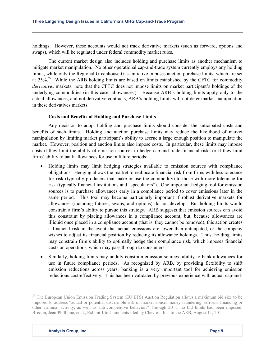holdings. However, these accounts would not track derivative markets (such as forward, options and swaps), which will be regulated under federal commodity market rules.

The current market design also includes holding and purchase limits as another mechanism to mitigate market manipulation. No other operational cap-and-trade system currently employs any holding limits, while only the Regional Greenhouse Gas Initiative imposes auction purchase limits, which are set at  $25\%$ <sup>[29](#page-11-0)</sup> While the ARB holding limits are based on limits established by the CFTC for commodity *derivatives* markets, note that the CFTC does not impose limits on market participant's holdings of the underlying commodities (in this case, allowances.) Because ARB's holding limits apply only to the actual allowances, and not derivative contracts, ARB's holding limits will not deter market manipulation in these derivatives markets.

#### **Costs and Benefits of Holding and Purchase Limits**

Any decision to adopt holding and purchase limits should consider the anticipated costs and benefits of such limits. Holding and auction purchase limits may reduce the likelihood of market manipulation by limiting market participant's ability to accrue a large enough position to manipulate the market. However, position and auction limits also impose costs. In particular, these limits may impose costs if they limit the ability of emission sources to hedge cap-and-trade financial risks or if they limit firms' ability to bank allowances for use in future periods:

- Holding limits may limit hedging strategies available to emission sources with compliance obligations. Hedging allows the market to reallocate financial risk from firms with less tolerance for risk (typically producers that make or use the commodity) to those with more tolerance for risk (typically financial institutions and "speculators"). One important hedging tool for emission sources is to purchase allowances early in a compliance period to cover emissions later in the same period. This tool may become particularly important if robust derivative markets for allowances (including futures, swaps, and options) do not develop. But holding limits would constrain a firm's ability to pursue this strategy. ARB suggests that emission sources can avoid this constraint by placing allowances in a compliance account; but, because allowances are illiquid once placed in a compliance account (that is, they cannot be removed), this action creates a financial risk in the event that actual emissions are lower than anticipated, or the company wishes to adjust its financial position by reducing its allowance holdings. Thus, holding limits may constrain firm's ability to optimally hedge their compliance risk, which imposes financial costs on operations, which may pass through to consumers.
- Similarly, holding limits may unduly constrain emission sources' ability to bank allowances for use in future compliance periods. As recognized by ARB, by providing flexibility to shift emission reductions across years, banking is a very important tool for achieving emission reductions cost-effectively. This has been validated by previous experience with actual cap-and-

<span id="page-11-0"></span><sup>&</sup>lt;sup>29</sup> The European Union Emission Trading System (EU ETS) Auction Regulation allows a maximum bid size to be imposed to address "actual or potential discernible risk of market abuse, money laundering, terrorist financing or other criminal activity, as well as anti-competitive behavior." Through 2011, no bid limits had been imposed. Brisson, Jean-Phillippe, et al., Exhibit 1 to Comments filed by Chevron, Inc. to the ARB, August 11, 2011.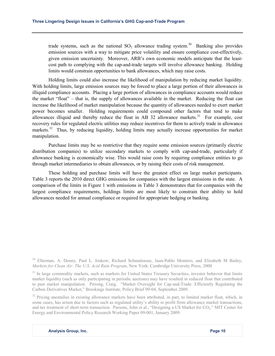trade systems, such as the national  $SO_2$  allowance trading system.<sup>[30](#page-12-0)</sup> Banking also provides emission sources with a way to mitigate price volatility and ensure compliance cost-effectively, given emission uncertainty. Moreover, ARB's own economic models anticipate that the leastcost path to complying with the cap-and-trade targets will involve allowance banking. Holding limits would constrain opportunities to bank allowances, which may raise costs.

Holding limits could also increase the likelihood of manipulation by reducing market liquidity. With holding limits, large emission sources may be forced to place a large portion of their allowances in illiquid compliance accounts. Placing a large portion of allowances in compliance accounts would reduce the market "float" – that is, the supply of allowances available in the market. Reducing the float can increase the likelihood of market manipulation because the quantity of allowances needed to exert market power becomes smaller. Holding requirements could compound other factors that tend to make allowances illiquid and thereby reduce the float in AB 32 allowance markets.<sup>[31](#page-12-1)</sup> For example, cost recovery rules for regulated electric utilities may reduce incentives for them to actively trade in allowance markets.<sup>[32](#page-12-2)</sup> Thus, by reducing liquidity, holding limits may actually increase opportunities for market manipulation.

Purchase limits may be so restrictive that they require some emission sources (primarily electric distribution companies) to utilize secondary markets to comply with cap-and-trade, particularly if allowance banking is economically wise. This would raise costs by requiring compliance entities to go through market intermediaries to obtain allowances, or by raising their costs of risk management.

These holding and purchase limits will have the greatest effect on large market participants. Table 3 reports the 2010 direct GHG emissions for companies with the largest emissions in the state. A comparison of the limits in Figure 1 with emissions in Table 3 demonstrates that for companies with the largest compliance requirements, holdings limits are most likely to constrain their ability to hold allowances needed for annual compliance or required for appropriate hedging or banking.

<span id="page-12-0"></span><sup>&</sup>lt;sup>30</sup> Ellerman, A. Denny, Paul L. Joskow, Richard Schmalensee, Juan-Pablo Montero, and Elizabeth M Bailey, *Markets for Clean Air: The U.S. Acid Rain Program*, New York: Cambridge University Press, 2000

<span id="page-12-1"></span><sup>&</sup>lt;sup>31</sup> In large commodity markets, such as markets for United States Treasury Securities, investor behavior that limits market liquidity (such as only participating in periodic auctions) may have resulted in reduced float that contributed to past market manipulation. Pirrong, Craig. "Market Oversight for Cap-and-Trade: Efficiently Regulating the Carbon Derivatives Market," Brookings Institute, Policy Brief 09-04, September 2009.

<span id="page-12-2"></span><sup>&</sup>lt;sup>32</sup> Pricing anomalies in existing allowance markets have been attributed, in part, to limited market float, which, in some cases, has arisen due to factors such as regulated utility's ability to profit from allowance market transactions, and tax treatment of short-term transaction. Parsons, John et al., "Designing a US Market for CO<sub>2</sub>," MIT Center for Energy and Environmental Policy Research Working Paper 09-001, January 2009.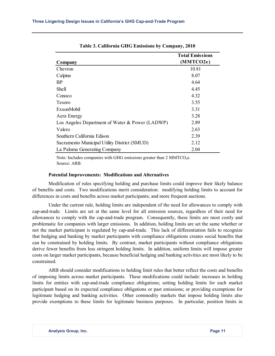|                                                 | <b>Total Emissions</b> |
|-------------------------------------------------|------------------------|
| Company                                         | (MMTCO2e)              |
| Chevron                                         | 10.81                  |
| Calpine                                         | 8.07                   |
| <b>BP</b>                                       | 4.64                   |
| Shell                                           | 4.45                   |
| Conoco                                          | 4.32                   |
| Tesoro                                          | 3.55                   |
| ExxonMobil                                      | 3.31                   |
| Aera Energy                                     | 3.28                   |
| Los Angeles Department of Water & Power (LADWP) | 2.89                   |
| Valero                                          | 2.63                   |
| Southern California Edison                      | 2.39                   |
| Sacramento Municipal Utility District (SMUD)    | 2.12                   |
| La Paloma Generating Company                    | 2.04                   |

**Table 3. California GHG Emissions by Company, 2010**

Note: Includes companies with GHG emissions greater than  $2$  MMTCO<sub>2</sub>e. Source: ARB.

#### **Potential Improvements: Modifications and Alternatives**

Modification of rules specifying holding and purchase limits could improve their likely balance of benefits and costs. Two modifications merit consideration: modifying holding limits to account for differences in costs and benefits across market participants; and more frequent auctions.

Under the current rule, holding limits are independent of the need for allowances to comply with cap-and-trade. Limits are set at the same level for all emission sources, regardless of their need for allowances to comply with the cap-and-trade program. Consequently, these limits are most costly and problematic for companies with larger emissions. In addition, holding limits are set the same whether or not the market participant is regulated by cap-and-trade. This lack of differentiation fails to recognize that hedging and banking by market participants with compliance obligations creates social benefits that can be constrained by holding limits. By contrast, market participants without compliance obligations derive fewer benefits from less stringent holding limits. In addition, uniform limits will impose greater costs on larger market participants, because beneficial hedging and banking activities are most likely to be constrained.

ARB should consider modifications to holding limit rules that better reflect the costs and benefits of imposing limits across market participants. These modifications could include: increases in holding limits for entities with cap-and-trade compliance obligations; setting holding limits for each market participant based on its expected compliance obligations or past emissions; or providing exemptions for legitimate hedging and banking activities. Other commodity markets that impose holding limits also provide exemptions to these limits for legitimate business purposes. In particular, position limits in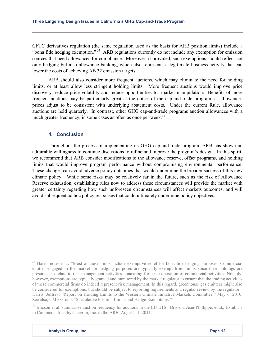CFTC derivatives regulation (the same regulation used as the basis for ARB position limits) include a "bona fide hedging exemption." [33](#page-14-0) ARB regulations currently do not include any exemption for emission sources that need allowances for compliance. Moreover, if provided, such exemptions should reflect not only hedging but also allowance banking, which also represents a legitimate business activity that can lower the costs of achieving AB 32 emission targets.

ARB should also consider more frequent auctions, which may eliminate the need for holding limits, or at least allow less stringent holding limits. More frequent auctions would improve price discovery, reduce price volatility and reduce opportunities for market manipulation. Benefits of more frequent auctions may be particularly great at the outset of the cap-and-trade program, as allowances prices adjust to be consistent with underlying abatement costs. Under the current Rule, allowance auctions are held quarterly. In contrast, other GHG cap-and-trade programs auction allowances with a much greater frequency, in some cases as often as once per week.<sup>[34](#page-14-1)</sup>

#### **4. Conclusion**

Throughout the process of implementing its GHG cap-and-trade program, ARB has shown an admirable willingness to continue discussions to refine and improve the program's design. In this spirit, we recommend that ARB consider modifications to the allowance reserve, offset programs, and holding limits that would improve program performance without compromising environmental performance. These changes can avoid adverse policy outcomes that would undermine the broader success of this new climate policy. While some risks may be relatively far in the future, such as the risk of Allowance Reserve exhaustion, establishing rules now to address these circumstances will provide the market with greater certainty regarding how such unforeseen circumstances will affect markets outcomes, and will avoid subsequent ad hoc policy responses that could ultimately undermine policy objectives.

<span id="page-14-1"></span><sup>34</sup> Brisson et al. summarize auction frequency for auctions in the EU ETS. Brisson, Jean-Phillippe, et al., Exhibit 1 to Comments filed by Chevron, Inc. to the ARB, August 11, 2011.

<span id="page-14-0"></span><sup>&</sup>lt;sup>33</sup> Harris notes that: "Most of these limits include exemptive relief for bona fide hedging purposes. Commercial entities engaged in the market for hedging purposes are typically exempt from limits since their holdings are presumed to relate to risk management activities emanating from the operation of commercial activities. Notably, however, exemptions are typically granted and monitored by the market regulator to ensure that the trading activities of these commercial firms do indeed represent risk management. In this regard, greenhouse gas emitters might also be considered for exemptions, but should be subject to reporting requirements and regular review by the regulator." Harris, Jeffrey, "Report on Holding Limits to the Western Climate Initiative Markets Committee," May 6, 2010. See also, CME Group, "Speculative Position Limits and Hedge Exemptions."